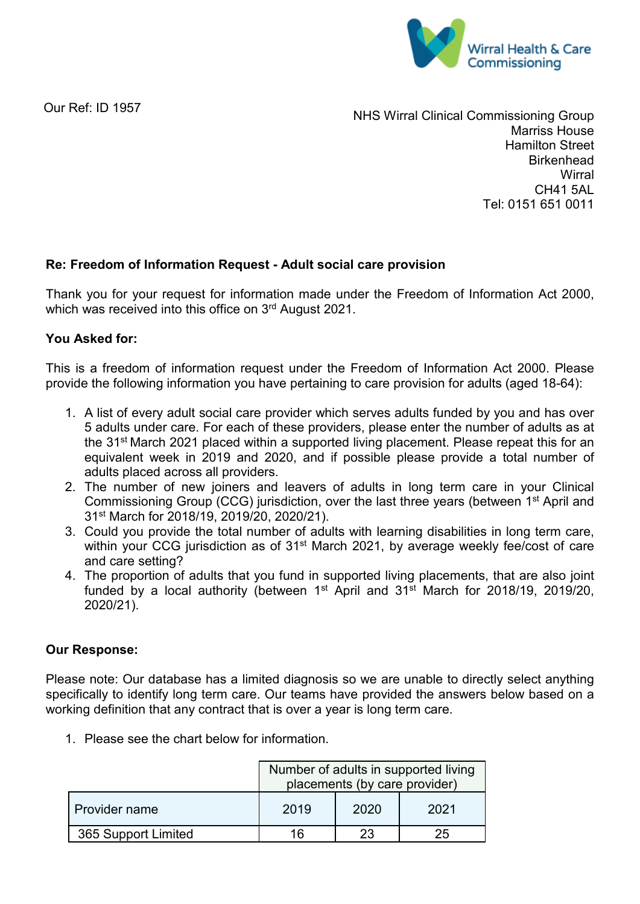

Our Ref: ID 1957

NHS Wirral Clinical Commissioning Group Marriss House Hamilton Street **Birkenhead Wirral** CH41 5AL Tel: 0151 651 0011

# **Re: Freedom of Information Request - Adult social care provision**

Thank you for your request for information made under the Freedom of Information Act 2000, which was received into this office on 3rd August 2021.

## **You Asked for:**

This is a freedom of information request under the Freedom of Information Act 2000. Please provide the following information you have pertaining to care provision for adults (aged 18-64):

- 1. A list of every adult social care provider which serves adults funded by you and has over 5 adults under care. For each of these providers, please enter the number of adults as at the 31st March 2021 placed within a supported living placement. Please repeat this for an equivalent week in 2019 and 2020, and if possible please provide a total number of adults placed across all providers.
- 2. The number of new joiners and leavers of adults in long term care in your Clinical Commissioning Group (CCG) jurisdiction, over the last three years (between 1<sup>st</sup> April and 31st March for 2018/19, 2019/20, 2020/21).
- 3. Could you provide the total number of adults with learning disabilities in long term care, within your CCG jurisdiction as of 31<sup>st</sup> March 2021, by average weekly fee/cost of care and care setting?
- 4. The proportion of adults that you fund in supported living placements, that are also joint funded by a local authority (between  $1<sup>st</sup>$  April and  $31<sup>st</sup>$  March for 2018/19, 2019/20, 2020/21).

## **Our Response:**

Please note: Our database has a limited diagnosis so we are unable to directly select anything specifically to identify long term care. Our teams have provided the answers below based on a working definition that any contract that is over a year is long term care.

1. Please see the chart below for information.

|                      | Number of adults in supported living<br>placements (by care provider) |      |      |  |  |
|----------------------|-----------------------------------------------------------------------|------|------|--|--|
| <b>Provider name</b> | 2019                                                                  | 2020 | 2021 |  |  |
| 365 Support Limited  |                                                                       |      |      |  |  |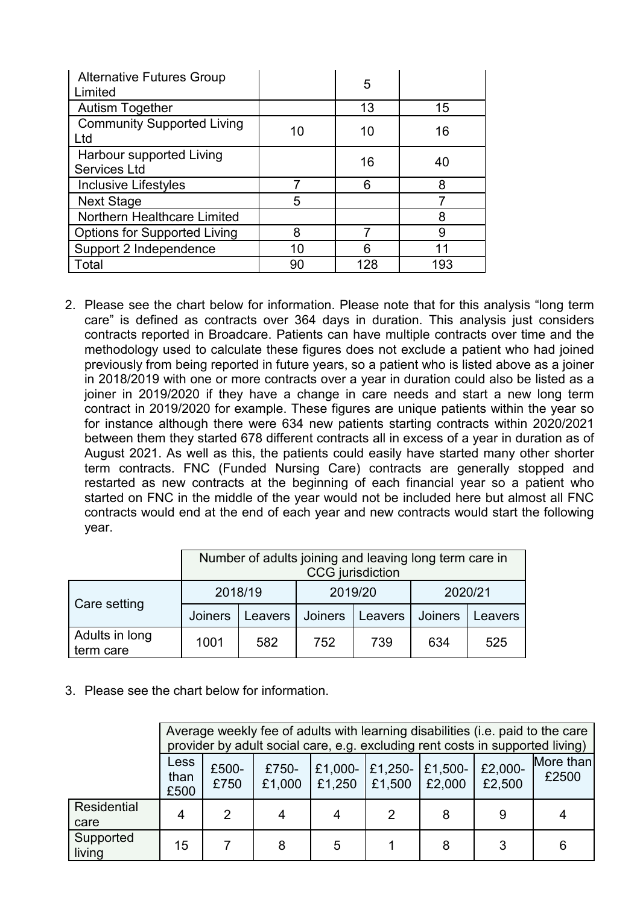| <b>Alternative Futures Group</b><br>Limited     |    | 5   |     |
|-------------------------------------------------|----|-----|-----|
| <b>Autism Together</b>                          |    | 13  | 15  |
| <b>Community Supported Living</b><br>_td        | 10 | 10  | 16  |
| Harbour supported Living<br><b>Services Ltd</b> |    | 16  | 40  |
| <b>Inclusive Lifestyles</b>                     |    | 6   | 8   |
| <b>Next Stage</b>                               | 5  |     |     |
| Northern Healthcare Limited                     |    |     | 8   |
| <b>Options for Supported Living</b>             | 8  |     | 9   |
| Support 2 Independence                          | 10 | հ   | 11  |
| Total                                           | 90 | 128 | 193 |

2. Please see the chart below for information. Please note that for this analysis "long term care" is defined as contracts over 364 days in duration. This analysis just considers contracts reported in Broadcare. Patients can have multiple contracts over time and the methodology used to calculate these figures does not exclude a patient who had joined previously from being reported in future years, so a patient who is listed above as a joiner in 2018/2019 with one or more contracts over a year in duration could also be listed as a joiner in 2019/2020 if they have a change in care needs and start a new long term contract in 2019/2020 for example. These figures are unique patients within the year so for instance although there were 634 new patients starting contracts within 2020/2021 between them they started 678 different contracts all in excess of a year in duration as of August 2021. As well as this, the patients could easily have started many other shorter term contracts. FNC (Funded Nursing Care) contracts are generally stopped and restarted as new contracts at the beginning of each financial year so a patient who started on FNC in the middle of the year would not be included here but almost all FNC contracts would end at the end of each year and new contracts would start the following year.

|                             | Number of adults joining and leaving long term care in<br><b>CCG</b> jurisdiction |         |                |         |         |         |
|-----------------------------|-----------------------------------------------------------------------------------|---------|----------------|---------|---------|---------|
| Care setting                | 2018/19                                                                           |         | 2019/20        |         | 2020/21 |         |
|                             | <b>Joiners</b>                                                                    | Leavers | <b>Joiners</b> | Leavers | Joiners | Leavers |
| Adults in long<br>term care | 1001                                                                              | 582     | 752            | 739     | 634     | 525     |

3. Please see the chart below for information.

|                            | Average weekly fee of adults with learning disabilities (i.e. paid to the care<br>provider by adult social care, e.g. excluding rent costs in supported living) |                |                 |                   |        |                              |                   |                    |
|----------------------------|-----------------------------------------------------------------------------------------------------------------------------------------------------------------|----------------|-----------------|-------------------|--------|------------------------------|-------------------|--------------------|
|                            | Less<br>than<br>£500                                                                                                                                            | £500-<br>£750  | £750-<br>£1,000 | £1,000-<br>E1,250 | £1,500 | £1,250- $E1,500$ -<br>£2,000 | £2,000-<br>£2,500 | More than<br>£2500 |
| <b>Residential</b><br>care | 4                                                                                                                                                               | $\overline{2}$ | 4               |                   | 2      | 8                            | 9                 |                    |
| Supported<br>living        | 15                                                                                                                                                              |                | 8               | 5                 |        | 8                            | 3                 | 6                  |